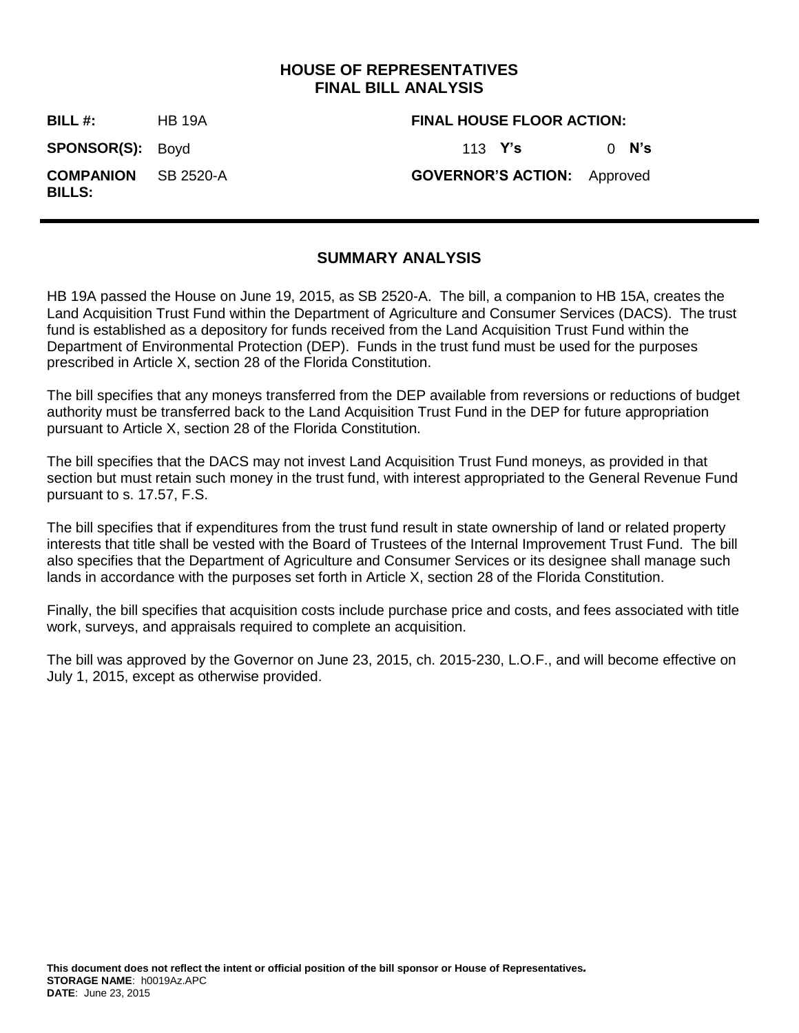## **HOUSE OF REPRESENTATIVES FINAL BILL ANALYSIS**

**BILL #:** HB 19A **FINAL HOUSE FLOOR ACTION: SPONSOR(S):** Boyd 113 **Y's** 0 **N's COMPANION BILLS:** SB 2520-A **GOVERNOR'S ACTION:** Approved

# **SUMMARY ANALYSIS**

HB 19A passed the House on June 19, 2015, as SB 2520-A. The bill, a companion to HB 15A, creates the Land Acquisition Trust Fund within the Department of Agriculture and Consumer Services (DACS). The trust fund is established as a depository for funds received from the Land Acquisition Trust Fund within the Department of Environmental Protection (DEP). Funds in the trust fund must be used for the purposes prescribed in Article X, section 28 of the Florida Constitution.

The bill specifies that any moneys transferred from the DEP available from reversions or reductions of budget authority must be transferred back to the Land Acquisition Trust Fund in the DEP for future appropriation pursuant to Article X, section 28 of the Florida Constitution.

The bill specifies that the DACS may not invest Land Acquisition Trust Fund moneys, as provided in that section but must retain such money in the trust fund, with interest appropriated to the General Revenue Fund pursuant to s. 17.57, F.S.

The bill specifies that if expenditures from the trust fund result in state ownership of land or related property interests that title shall be vested with the Board of Trustees of the Internal Improvement Trust Fund. The bill also specifies that the Department of Agriculture and Consumer Services or its designee shall manage such lands in accordance with the purposes set forth in Article X, section 28 of the Florida Constitution.

Finally, the bill specifies that acquisition costs include purchase price and costs, and fees associated with title work, surveys, and appraisals required to complete an acquisition.

The bill was approved by the Governor on June 23, 2015, ch. 2015-230, L.O.F., and will become effective on July 1, 2015, except as otherwise provided.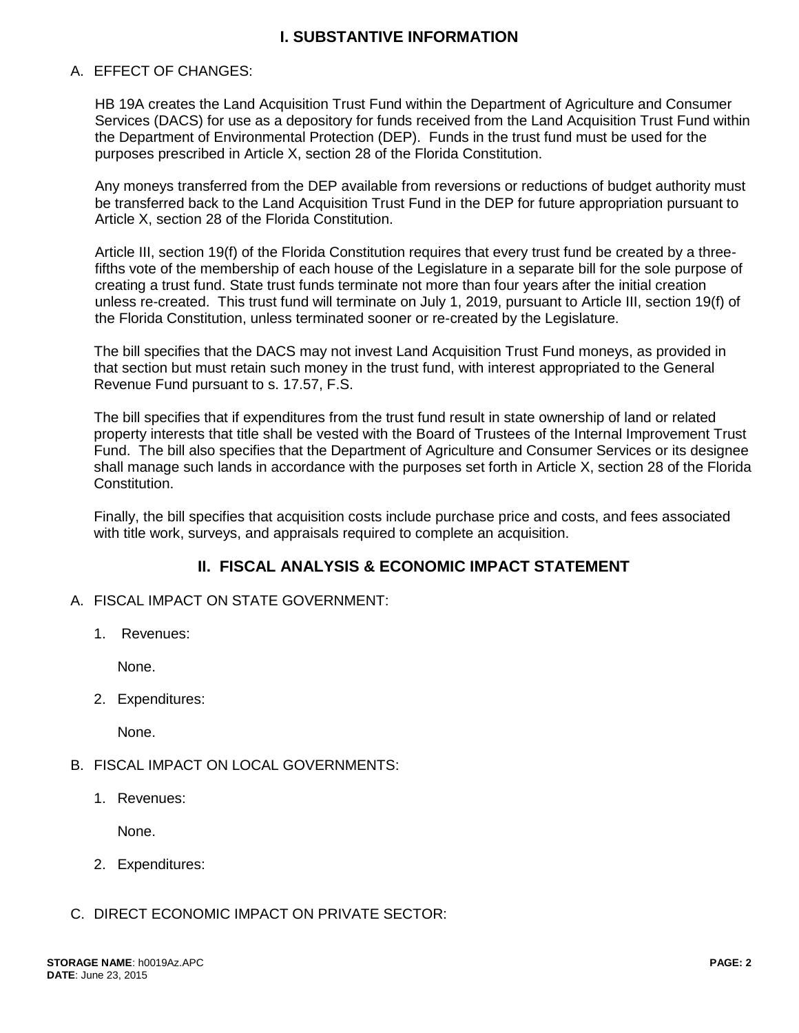# **I. SUBSTANTIVE INFORMATION**

#### A. EFFECT OF CHANGES:

HB 19A creates the Land Acquisition Trust Fund within the Department of Agriculture and Consumer Services (DACS) for use as a depository for funds received from the Land Acquisition Trust Fund within the Department of Environmental Protection (DEP). Funds in the trust fund must be used for the purposes prescribed in Article X, section 28 of the Florida Constitution.

Any moneys transferred from the DEP available from reversions or reductions of budget authority must be transferred back to the Land Acquisition Trust Fund in the DEP for future appropriation pursuant to Article X, section 28 of the Florida Constitution.

Article III, section 19(f) of the Florida Constitution requires that every trust fund be created by a threefifths vote of the membership of each house of the Legislature in a separate bill for the sole purpose of creating a trust fund. State trust funds terminate not more than four years after the initial creation unless re-created. This trust fund will terminate on July 1, 2019, pursuant to Article III, section 19(f) of the Florida Constitution, unless terminated sooner or re-created by the Legislature.

The bill specifies that the DACS may not invest Land Acquisition Trust Fund moneys, as provided in that section but must retain such money in the trust fund, with interest appropriated to the General Revenue Fund pursuant to s. 17.57, F.S.

The bill specifies that if expenditures from the trust fund result in state ownership of land or related property interests that title shall be vested with the Board of Trustees of the Internal Improvement Trust Fund. The bill also specifies that the Department of Agriculture and Consumer Services or its designee shall manage such lands in accordance with the purposes set forth in Article X, section 28 of the Florida Constitution.

Finally, the bill specifies that acquisition costs include purchase price and costs, and fees associated with title work, surveys, and appraisals required to complete an acquisition.

## **II. FISCAL ANALYSIS & ECONOMIC IMPACT STATEMENT**

- A. FISCAL IMPACT ON STATE GOVERNMENT:
	- 1. Revenues:

None.

2. Expenditures:

None.

- B. FISCAL IMPACT ON LOCAL GOVERNMENTS:
	- 1. Revenues:

None.

- 2. Expenditures:
- C. DIRECT ECONOMIC IMPACT ON PRIVATE SECTOR: